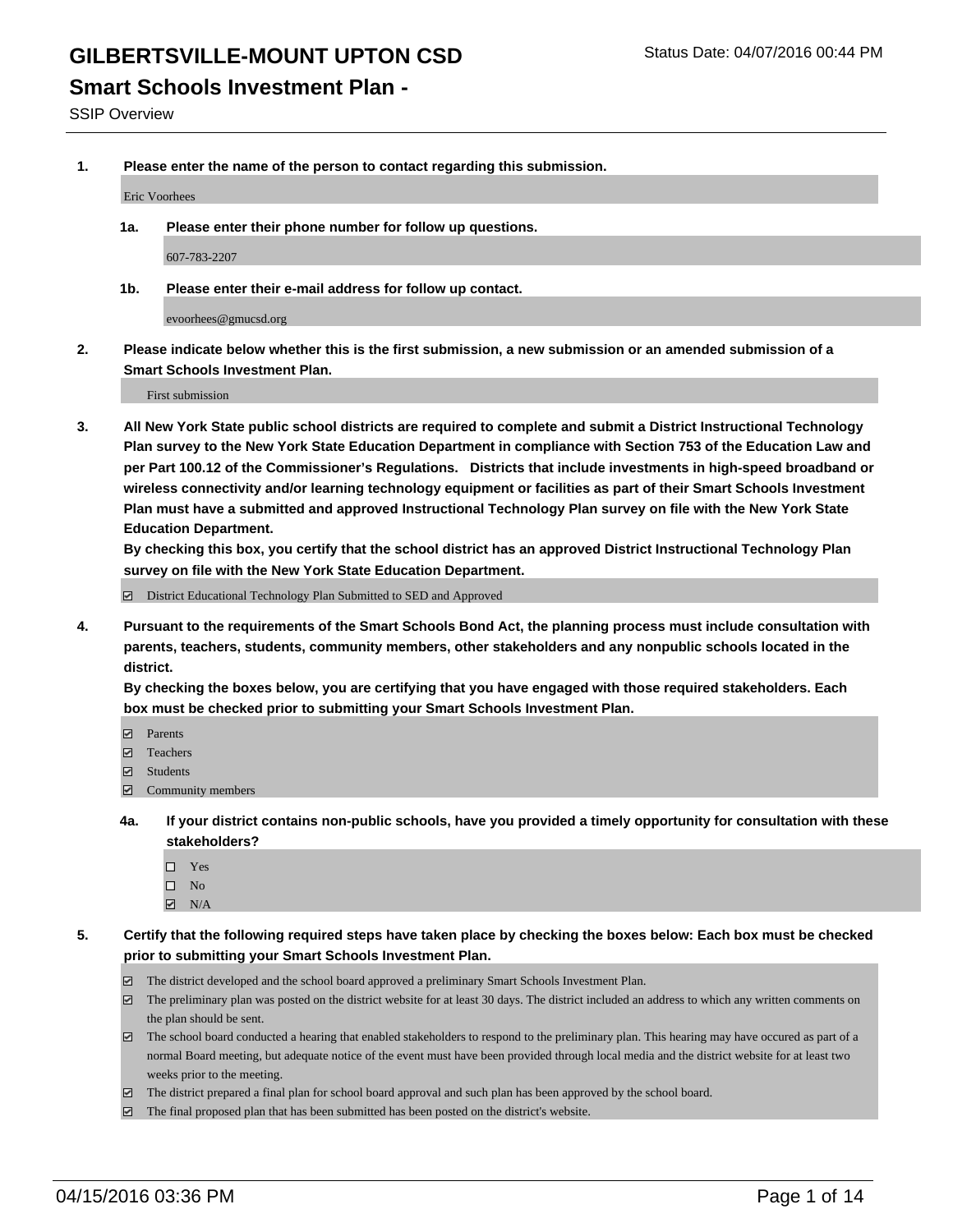#### **Smart Schools Investment Plan -**

SSIP Overview

**1. Please enter the name of the person to contact regarding this submission.**

Eric Voorhees

**1a. Please enter their phone number for follow up questions.**

607-783-2207

**1b. Please enter their e-mail address for follow up contact.**

evoorhees@gmucsd.org

**2. Please indicate below whether this is the first submission, a new submission or an amended submission of a Smart Schools Investment Plan.**

First submission

**3. All New York State public school districts are required to complete and submit a District Instructional Technology Plan survey to the New York State Education Department in compliance with Section 753 of the Education Law and per Part 100.12 of the Commissioner's Regulations. Districts that include investments in high-speed broadband or wireless connectivity and/or learning technology equipment or facilities as part of their Smart Schools Investment Plan must have a submitted and approved Instructional Technology Plan survey on file with the New York State Education Department.** 

**By checking this box, you certify that the school district has an approved District Instructional Technology Plan survey on file with the New York State Education Department.**

■ District Educational Technology Plan Submitted to SED and Approved

**4. Pursuant to the requirements of the Smart Schools Bond Act, the planning process must include consultation with parents, teachers, students, community members, other stakeholders and any nonpublic schools located in the district.** 

**By checking the boxes below, you are certifying that you have engaged with those required stakeholders. Each box must be checked prior to submitting your Smart Schools Investment Plan.**

- **Parents**
- □ Teachers
- Students
- $\boxdot$  Community members
- **4a. If your district contains non-public schools, have you provided a timely opportunity for consultation with these stakeholders?**
	- □ Yes
	- $\square$  No
	- $\boxtimes$  N/A
- **5. Certify that the following required steps have taken place by checking the boxes below: Each box must be checked prior to submitting your Smart Schools Investment Plan.**
	- The district developed and the school board approved a preliminary Smart Schools Investment Plan.
	- The preliminary plan was posted on the district website for at least 30 days. The district included an address to which any written comments on the plan should be sent.
	- $\Box$  The school board conducted a hearing that enabled stakeholders to respond to the preliminary plan. This hearing may have occured as part of a normal Board meeting, but adequate notice of the event must have been provided through local media and the district website for at least two weeks prior to the meeting.
	- The district prepared a final plan for school board approval and such plan has been approved by the school board.
	- The final proposed plan that has been submitted has been posted on the district's website.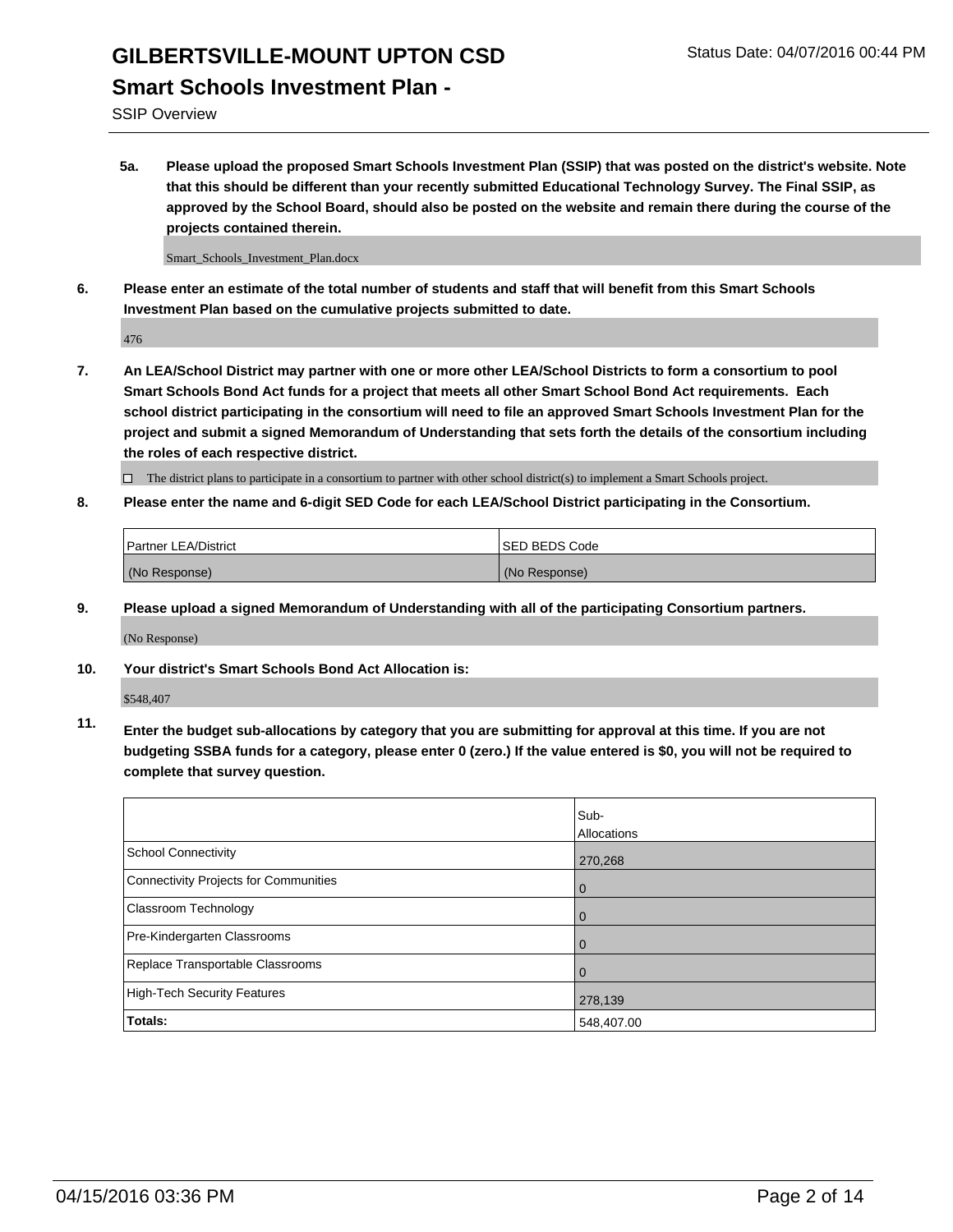#### **Smart Schools Investment Plan -**

SSIP Overview

**5a. Please upload the proposed Smart Schools Investment Plan (SSIP) that was posted on the district's website. Note that this should be different than your recently submitted Educational Technology Survey. The Final SSIP, as approved by the School Board, should also be posted on the website and remain there during the course of the projects contained therein.**

Smart\_Schools\_Investment\_Plan.docx

**6. Please enter an estimate of the total number of students and staff that will benefit from this Smart Schools Investment Plan based on the cumulative projects submitted to date.**

476

**7. An LEA/School District may partner with one or more other LEA/School Districts to form a consortium to pool Smart Schools Bond Act funds for a project that meets all other Smart School Bond Act requirements. Each school district participating in the consortium will need to file an approved Smart Schools Investment Plan for the project and submit a signed Memorandum of Understanding that sets forth the details of the consortium including the roles of each respective district.**

 $\Box$  The district plans to participate in a consortium to partner with other school district(s) to implement a Smart Schools project.

**8. Please enter the name and 6-digit SED Code for each LEA/School District participating in the Consortium.**

| Partner LEA/District | <b>ISED BEDS Code</b> |
|----------------------|-----------------------|
| (No Response)        | (No Response)         |

**9. Please upload a signed Memorandum of Understanding with all of the participating Consortium partners.**

(No Response)

**10. Your district's Smart Schools Bond Act Allocation is:**

\$548,407

**11. Enter the budget sub-allocations by category that you are submitting for approval at this time. If you are not budgeting SSBA funds for a category, please enter 0 (zero.) If the value entered is \$0, you will not be required to complete that survey question.**

|                                       | Sub-<br>Allocations |
|---------------------------------------|---------------------|
| <b>School Connectivity</b>            | 270,268             |
| Connectivity Projects for Communities | $\Omega$            |
| <b>Classroom Technology</b>           | 0                   |
| Pre-Kindergarten Classrooms           | 0                   |
| Replace Transportable Classrooms      | 0                   |
| High-Tech Security Features           | 278,139             |
| Totals:                               | 548,407.00          |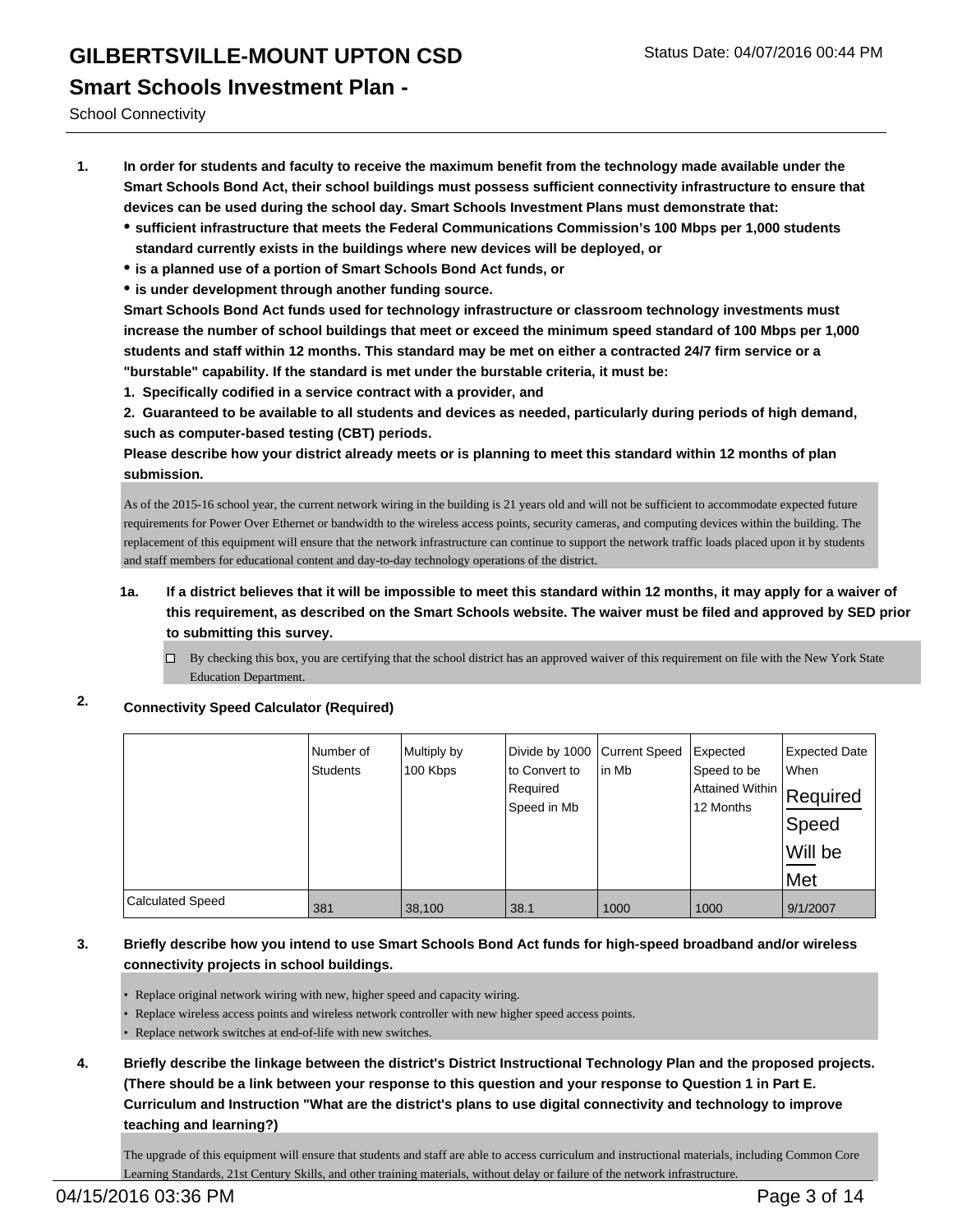**Smart Schools Investment Plan -**

School Connectivity

- **1. In order for students and faculty to receive the maximum benefit from the technology made available under the Smart Schools Bond Act, their school buildings must possess sufficient connectivity infrastructure to ensure that devices can be used during the school day. Smart Schools Investment Plans must demonstrate that:**
	- **sufficient infrastructure that meets the Federal Communications Commission's 100 Mbps per 1,000 students standard currently exists in the buildings where new devices will be deployed, or**
	- **is a planned use of a portion of Smart Schools Bond Act funds, or**
	- **is under development through another funding source.**

**Smart Schools Bond Act funds used for technology infrastructure or classroom technology investments must increase the number of school buildings that meet or exceed the minimum speed standard of 100 Mbps per 1,000 students and staff within 12 months. This standard may be met on either a contracted 24/7 firm service or a "burstable" capability. If the standard is met under the burstable criteria, it must be:**

**1. Specifically codified in a service contract with a provider, and**

**2. Guaranteed to be available to all students and devices as needed, particularly during periods of high demand, such as computer-based testing (CBT) periods.**

**Please describe how your district already meets or is planning to meet this standard within 12 months of plan submission.**

As of the 2015-16 school year, the current network wiring in the building is 21 years old and will not be sufficient to accommodate expected future requirements for Power Over Ethernet or bandwidth to the wireless access points, security cameras, and computing devices within the building. The replacement of this equipment will ensure that the network infrastructure can continue to support the network traffic loads placed upon it by students and staff members for educational content and day-to-day technology operations of the district.

- **1a. If a district believes that it will be impossible to meet this standard within 12 months, it may apply for a waiver of this requirement, as described on the Smart Schools website. The waiver must be filed and approved by SED prior to submitting this survey.**
	- By checking this box, you are certifying that the school district has an approved waiver of this requirement on file with the New York State Education Department.

#### **2. Connectivity Speed Calculator (Required)**

|                         | Number of<br>Students | Multiply by<br>100 Kbps | Divide by 1000 Current Speed<br>lto Convert to<br>Required<br>Speed in Mb | lin Mb | Expected<br>Speed to be<br>Attained Within Required<br>12 Months | Expected Date<br><b>When</b><br>Speed<br>Will be<br>Met |
|-------------------------|-----------------------|-------------------------|---------------------------------------------------------------------------|--------|------------------------------------------------------------------|---------------------------------------------------------|
| <b>Calculated Speed</b> | 381                   | 38,100                  | 38.1                                                                      | 1000   | 1000                                                             | 9/1/2007                                                |

#### **3. Briefly describe how you intend to use Smart Schools Bond Act funds for high-speed broadband and/or wireless connectivity projects in school buildings.**

- Replace original network wiring with new, higher speed and capacity wiring.
- Replace wireless access points and wireless network controller with new higher speed access points.

• Replace network switches at end-of-life with new switches.

**4. Briefly describe the linkage between the district's District Instructional Technology Plan and the proposed projects. (There should be a link between your response to this question and your response to Question 1 in Part E. Curriculum and Instruction "What are the district's plans to use digital connectivity and technology to improve teaching and learning?)**

The upgrade of this equipment will ensure that students and staff are able to access curriculum and instructional materials, including Common Core Learning Standards, 21st Century Skills, and other training materials, without delay or failure of the network infrastructure.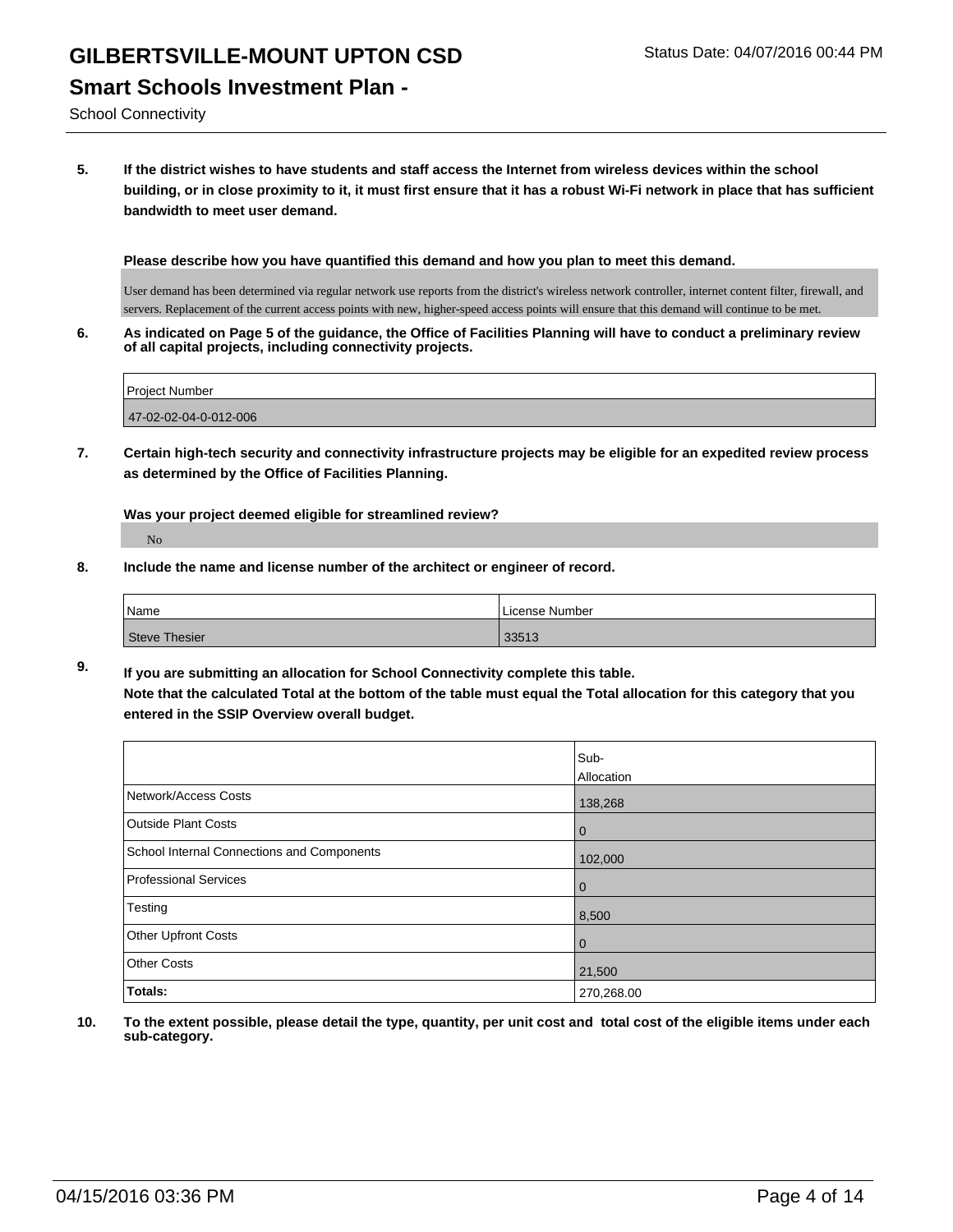### GILBERTSVILLE-MOUNT UPTON CSD Status Date: 04/07/2016 00:44 PM **Smart Schools Investment Plan -**

School Connectivity

**5. If the district wishes to have students and staff access the Internet from wireless devices within the school building, or in close proximity to it, it must first ensure that it has a robust Wi-Fi network in place that has sufficient bandwidth to meet user demand.**

**Please describe how you have quantified this demand and how you plan to meet this demand.**

User demand has been determined via regular network use reports from the district's wireless network controller, internet content filter, firewall, and servers. Replacement of the current access points with new, higher-speed access points will ensure that this demand will continue to be met.

**6. As indicated on Page 5 of the guidance, the Office of Facilities Planning will have to conduct a preliminary review of all capital projects, including connectivity projects.**

| <b>IProject Number</b> |  |  |
|------------------------|--|--|
|                        |  |  |
| 47-02-02-04-0-012-006  |  |  |

**7. Certain high-tech security and connectivity infrastructure projects may be eligible for an expedited review process as determined by the Office of Facilities Planning.**

**Was your project deemed eligible for streamlined review?**

No

**8. Include the name and license number of the architect or engineer of record.**

| Name          | License Number |
|---------------|----------------|
| Steve Thesier | 33513          |

**9. If you are submitting an allocation for School Connectivity complete this table. Note that the calculated Total at the bottom of the table must equal the Total allocation for this category that you entered in the SSIP Overview overall budget.** 

|                                            | Sub-        |
|--------------------------------------------|-------------|
|                                            | Allocation  |
| Network/Access Costs                       | 138,268     |
| <b>Outside Plant Costs</b>                 | $\mathbf 0$ |
| School Internal Connections and Components | 102,000     |
| <b>Professional Services</b>               | $\mathbf 0$ |
| Testing                                    | 8,500       |
| <b>Other Upfront Costs</b>                 | $\mathbf 0$ |
| <b>Other Costs</b>                         | 21,500      |
| Totals:                                    | 270,268.00  |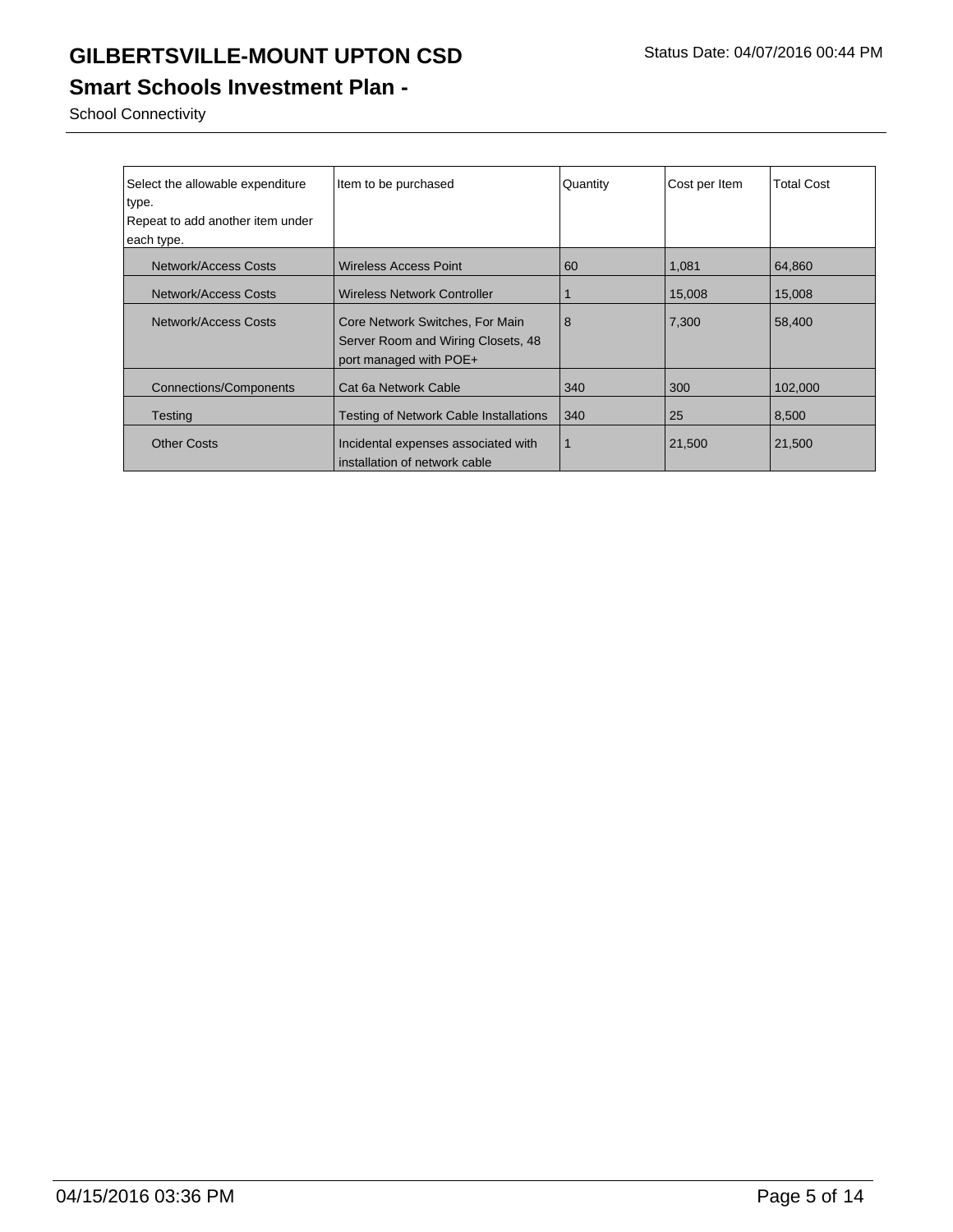### **Smart Schools Investment Plan -**

School Connectivity

| Select the allowable expenditure<br>type. | Item to be purchased                                                                            | Quantity | Cost per Item | <b>Total Cost</b> |
|-------------------------------------------|-------------------------------------------------------------------------------------------------|----------|---------------|-------------------|
|                                           |                                                                                                 |          |               |                   |
| Repeat to add another item under          |                                                                                                 |          |               |                   |
| each type.                                |                                                                                                 |          |               |                   |
| Network/Access Costs                      | Wireless Access Point                                                                           | 60       | 1,081         | 64,860            |
| Network/Access Costs                      | <b>Wireless Network Controller</b>                                                              |          | 15,008        | 15,008            |
| Network/Access Costs                      | Core Network Switches, For Main<br>Server Room and Wiring Closets, 48<br>port managed with POE+ | 8        | 7,300         | 58,400            |
| Connections/Components                    | Cat 6a Network Cable                                                                            | 340      | 300           | 102,000           |
| <b>Testing</b>                            | Testing of Network Cable Installations                                                          | 340      | 25            | 8,500             |
| <b>Other Costs</b>                        | Incidental expenses associated with<br>installation of network cable                            |          | 21,500        | 21,500            |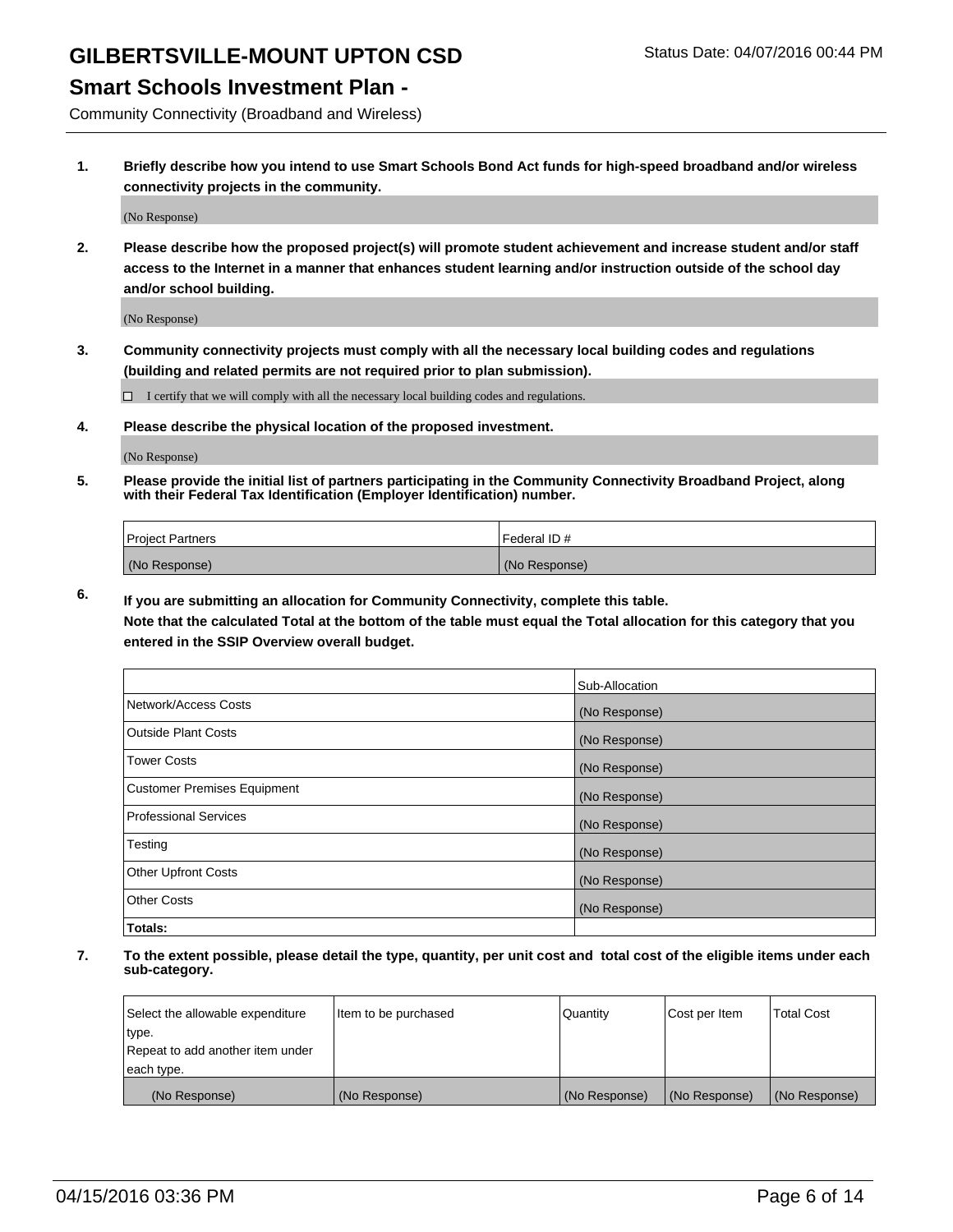#### **Smart Schools Investment Plan -**

Community Connectivity (Broadband and Wireless)

**1. Briefly describe how you intend to use Smart Schools Bond Act funds for high-speed broadband and/or wireless connectivity projects in the community.**

(No Response)

**2. Please describe how the proposed project(s) will promote student achievement and increase student and/or staff access to the Internet in a manner that enhances student learning and/or instruction outside of the school day and/or school building.**

(No Response)

**3. Community connectivity projects must comply with all the necessary local building codes and regulations (building and related permits are not required prior to plan submission).**

 $\Box$  I certify that we will comply with all the necessary local building codes and regulations.

**4. Please describe the physical location of the proposed investment.**

(No Response)

**5. Please provide the initial list of partners participating in the Community Connectivity Broadband Project, along with their Federal Tax Identification (Employer Identification) number.**

| <b>Project Partners</b> | <b>IFederal ID#</b> |
|-------------------------|---------------------|
| (No Response)           | (No Response)       |

**6. If you are submitting an allocation for Community Connectivity, complete this table.**

**Note that the calculated Total at the bottom of the table must equal the Total allocation for this category that you entered in the SSIP Overview overall budget.**

|                                    | Sub-Allocation |
|------------------------------------|----------------|
| Network/Access Costs               | (No Response)  |
| Outside Plant Costs                | (No Response)  |
| <b>Tower Costs</b>                 | (No Response)  |
| <b>Customer Premises Equipment</b> | (No Response)  |
| Professional Services              | (No Response)  |
| Testing                            | (No Response)  |
| <b>Other Upfront Costs</b>         | (No Response)  |
| Other Costs                        | (No Response)  |
| Totals:                            |                |

| Select the allowable expenditure | litem to be purchased | Quantity      | Cost per Item | <b>Total Cost</b> |
|----------------------------------|-----------------------|---------------|---------------|-------------------|
| type.                            |                       |               |               |                   |
| Repeat to add another item under |                       |               |               |                   |
| each type.                       |                       |               |               |                   |
| (No Response)                    | (No Response)         | (No Response) | (No Response) | (No Response)     |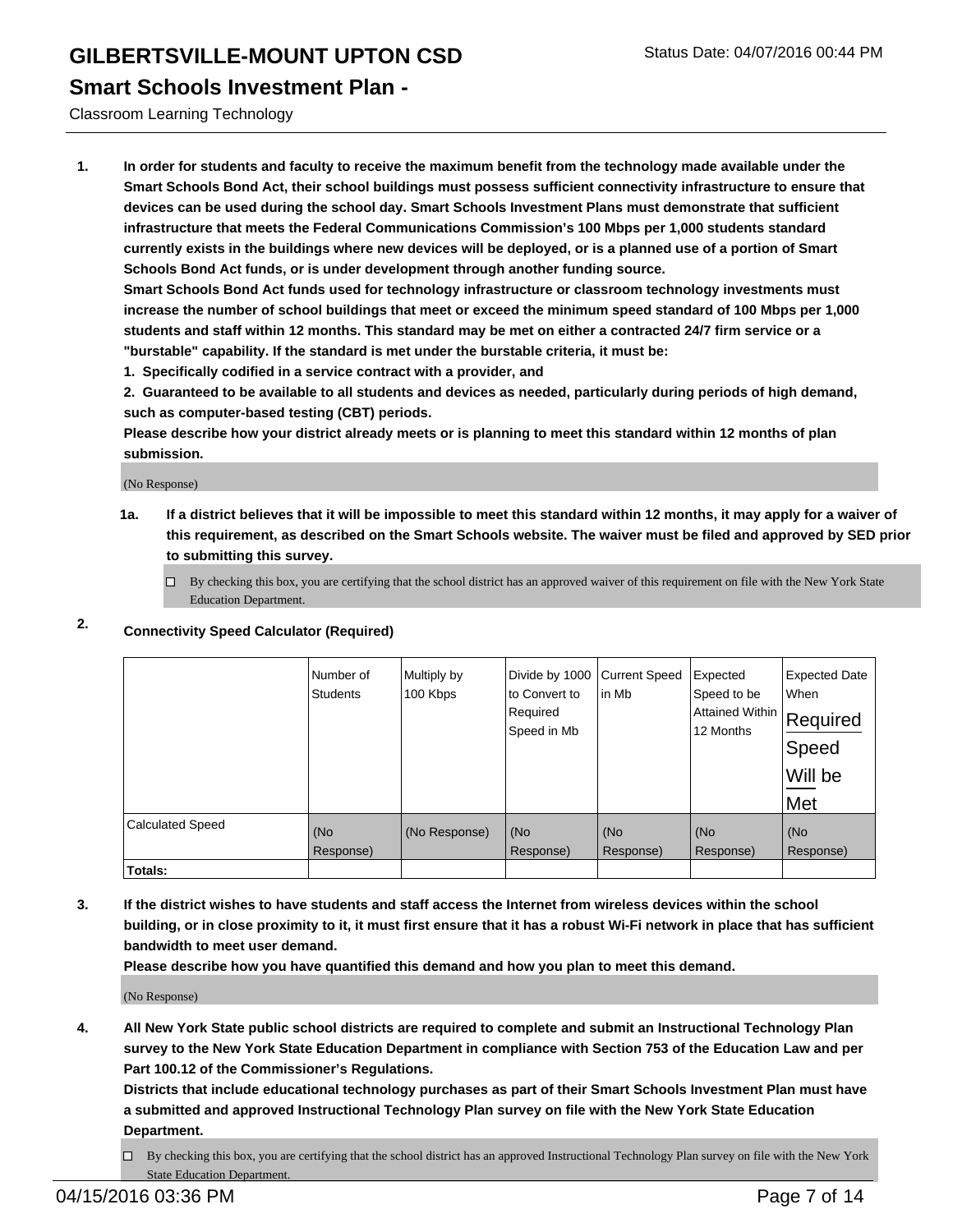#### **Smart Schools Investment Plan -**

Classroom Learning Technology

**1. In order for students and faculty to receive the maximum benefit from the technology made available under the Smart Schools Bond Act, their school buildings must possess sufficient connectivity infrastructure to ensure that devices can be used during the school day. Smart Schools Investment Plans must demonstrate that sufficient infrastructure that meets the Federal Communications Commission's 100 Mbps per 1,000 students standard currently exists in the buildings where new devices will be deployed, or is a planned use of a portion of Smart Schools Bond Act funds, or is under development through another funding source.**

**Smart Schools Bond Act funds used for technology infrastructure or classroom technology investments must increase the number of school buildings that meet or exceed the minimum speed standard of 100 Mbps per 1,000 students and staff within 12 months. This standard may be met on either a contracted 24/7 firm service or a "burstable" capability. If the standard is met under the burstable criteria, it must be:**

**1. Specifically codified in a service contract with a provider, and**

**2. Guaranteed to be available to all students and devices as needed, particularly during periods of high demand, such as computer-based testing (CBT) periods.**

**Please describe how your district already meets or is planning to meet this standard within 12 months of plan submission.**

(No Response)

**1a. If a district believes that it will be impossible to meet this standard within 12 months, it may apply for a waiver of this requirement, as described on the Smart Schools website. The waiver must be filed and approved by SED prior to submitting this survey.**

 $\Box$  By checking this box, you are certifying that the school district has an approved waiver of this requirement on file with the New York State Education Department.

#### **2. Connectivity Speed Calculator (Required)**

|                         | Number of<br><b>Students</b> | Multiply by<br>100 Kbps | Divide by 1000<br>to Convert to<br>Required<br>Speed in Mb | <b>Current Speed</b><br>lin Mb | Expected<br>Speed to be<br> Attained Within   Required<br>12 Months | <b>Expected Date</b><br><b>When</b><br>∣Speed<br>Will be<br>Met |
|-------------------------|------------------------------|-------------------------|------------------------------------------------------------|--------------------------------|---------------------------------------------------------------------|-----------------------------------------------------------------|
| <b>Calculated Speed</b> | (No<br>Response)             | (No Response)           | (No<br>Response)                                           | (No<br>Response)               | (No<br>Response)                                                    | (No<br>Response)                                                |
| Totals:                 |                              |                         |                                                            |                                |                                                                     |                                                                 |

**3. If the district wishes to have students and staff access the Internet from wireless devices within the school building, or in close proximity to it, it must first ensure that it has a robust Wi-Fi network in place that has sufficient bandwidth to meet user demand.**

**Please describe how you have quantified this demand and how you plan to meet this demand.**

(No Response)

**4. All New York State public school districts are required to complete and submit an Instructional Technology Plan survey to the New York State Education Department in compliance with Section 753 of the Education Law and per Part 100.12 of the Commissioner's Regulations.**

**Districts that include educational technology purchases as part of their Smart Schools Investment Plan must have a submitted and approved Instructional Technology Plan survey on file with the New York State Education Department.**

 $\Box$  By checking this box, you are certifying that the school district has an approved Instructional Technology Plan survey on file with the New York State Education Department.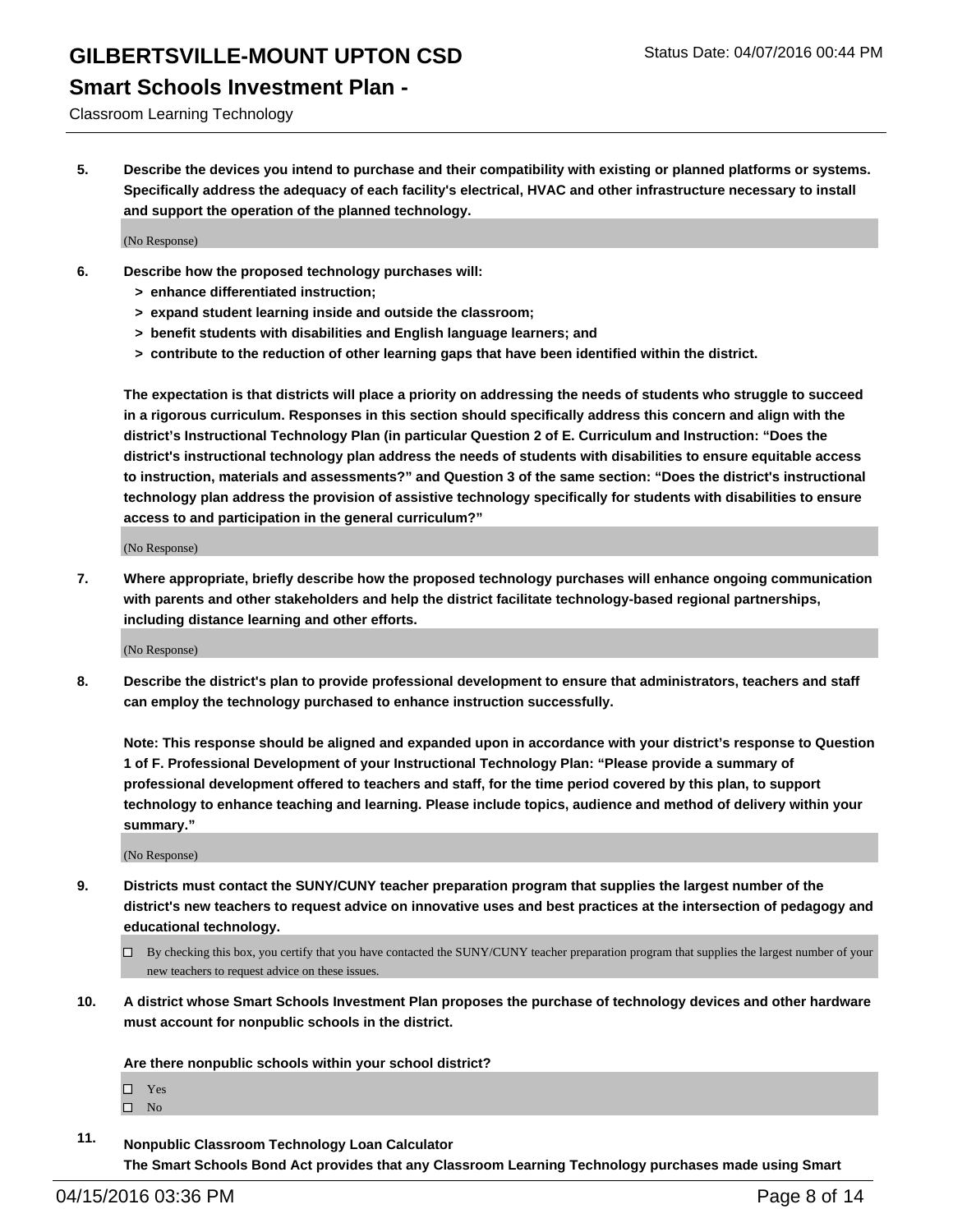#### **Smart Schools Investment Plan -**

Classroom Learning Technology

**5. Describe the devices you intend to purchase and their compatibility with existing or planned platforms or systems. Specifically address the adequacy of each facility's electrical, HVAC and other infrastructure necessary to install and support the operation of the planned technology.**

(No Response)

- **6. Describe how the proposed technology purchases will:**
	- **> enhance differentiated instruction;**
	- **> expand student learning inside and outside the classroom;**
	- **> benefit students with disabilities and English language learners; and**
	- **> contribute to the reduction of other learning gaps that have been identified within the district.**

**The expectation is that districts will place a priority on addressing the needs of students who struggle to succeed in a rigorous curriculum. Responses in this section should specifically address this concern and align with the district's Instructional Technology Plan (in particular Question 2 of E. Curriculum and Instruction: "Does the district's instructional technology plan address the needs of students with disabilities to ensure equitable access to instruction, materials and assessments?" and Question 3 of the same section: "Does the district's instructional technology plan address the provision of assistive technology specifically for students with disabilities to ensure access to and participation in the general curriculum?"**

(No Response)

**7. Where appropriate, briefly describe how the proposed technology purchases will enhance ongoing communication with parents and other stakeholders and help the district facilitate technology-based regional partnerships, including distance learning and other efforts.**

(No Response)

**8. Describe the district's plan to provide professional development to ensure that administrators, teachers and staff can employ the technology purchased to enhance instruction successfully.**

**Note: This response should be aligned and expanded upon in accordance with your district's response to Question 1 of F. Professional Development of your Instructional Technology Plan: "Please provide a summary of professional development offered to teachers and staff, for the time period covered by this plan, to support technology to enhance teaching and learning. Please include topics, audience and method of delivery within your summary."**

(No Response)

- **9. Districts must contact the SUNY/CUNY teacher preparation program that supplies the largest number of the district's new teachers to request advice on innovative uses and best practices at the intersection of pedagogy and educational technology.**
	- $\Box$  By checking this box, you certify that you have contacted the SUNY/CUNY teacher preparation program that supplies the largest number of your new teachers to request advice on these issues.
- **10. A district whose Smart Schools Investment Plan proposes the purchase of technology devices and other hardware must account for nonpublic schools in the district.**

**Are there nonpublic schools within your school district?**

□ Yes  $\square$  No

**11. Nonpublic Classroom Technology Loan Calculator The Smart Schools Bond Act provides that any Classroom Learning Technology purchases made using Smart**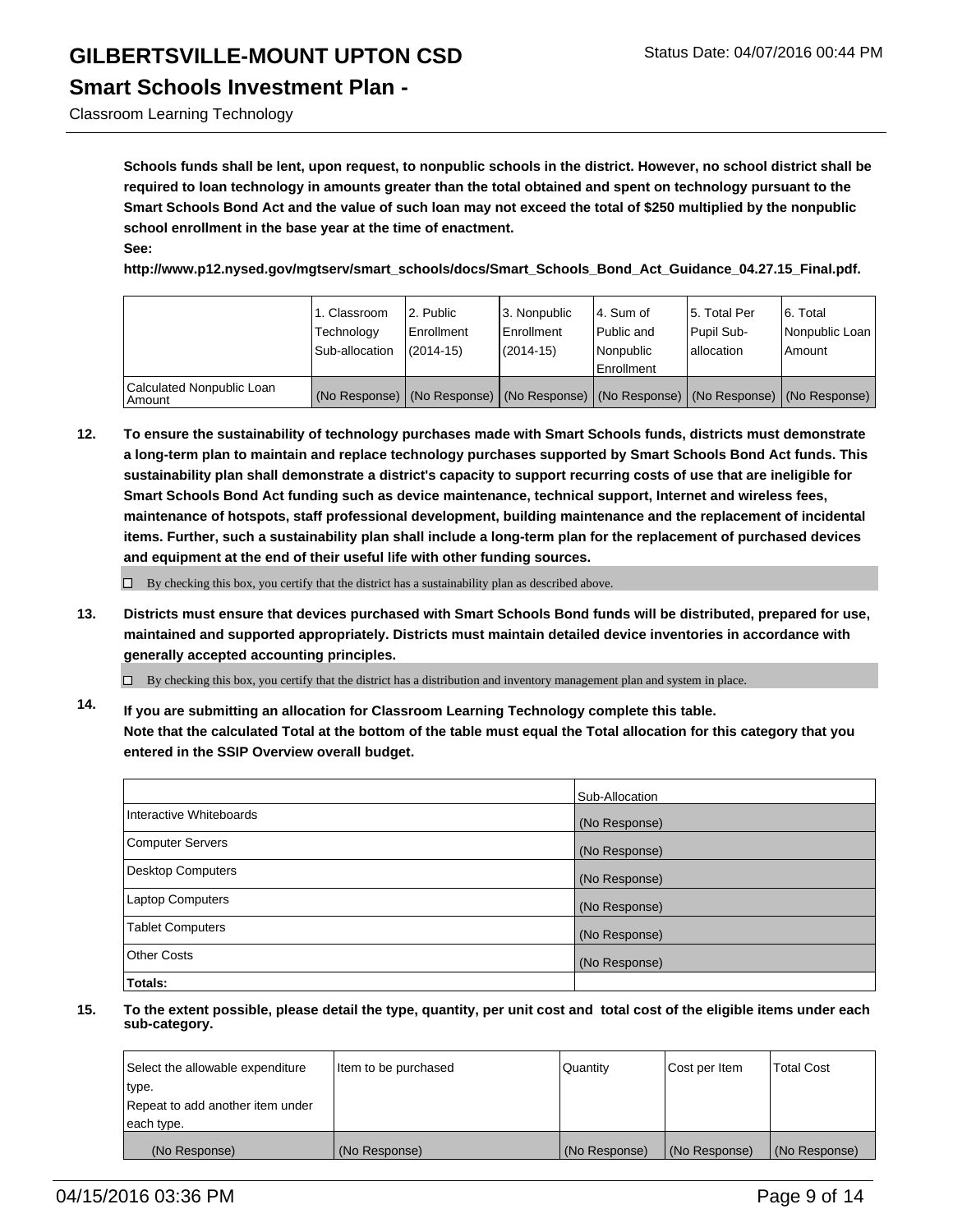#### **Smart Schools Investment Plan -**

Classroom Learning Technology

**Schools funds shall be lent, upon request, to nonpublic schools in the district. However, no school district shall be required to loan technology in amounts greater than the total obtained and spent on technology pursuant to the Smart Schools Bond Act and the value of such loan may not exceed the total of \$250 multiplied by the nonpublic school enrollment in the base year at the time of enactment. See:**

**http://www.p12.nysed.gov/mgtserv/smart\_schools/docs/Smart\_Schools\_Bond\_Act\_Guidance\_04.27.15\_Final.pdf.**

|                                     | 1. Classroom<br>Technology<br>Sub-allocation | 2. Public<br>Enrollment<br>$(2014 - 15)$ | 3. Nonpublic<br>Enrollment<br>(2014-15)                                                       | l 4. Sum of<br>Public and<br>Nonpublic<br>Enrollment | 15. Total Per<br>Pupil Sub-<br>lallocation | 6. Total<br>Nonpublic Loan<br>Amount |
|-------------------------------------|----------------------------------------------|------------------------------------------|-----------------------------------------------------------------------------------------------|------------------------------------------------------|--------------------------------------------|--------------------------------------|
| Calculated Nonpublic Loan<br>Amount |                                              |                                          | (No Response)   (No Response)   (No Response)   (No Response)   (No Response)   (No Response) |                                                      |                                            |                                      |

**12. To ensure the sustainability of technology purchases made with Smart Schools funds, districts must demonstrate a long-term plan to maintain and replace technology purchases supported by Smart Schools Bond Act funds. This sustainability plan shall demonstrate a district's capacity to support recurring costs of use that are ineligible for Smart Schools Bond Act funding such as device maintenance, technical support, Internet and wireless fees, maintenance of hotspots, staff professional development, building maintenance and the replacement of incidental items. Further, such a sustainability plan shall include a long-term plan for the replacement of purchased devices and equipment at the end of their useful life with other funding sources.**

 $\Box$  By checking this box, you certify that the district has a sustainability plan as described above.

**13. Districts must ensure that devices purchased with Smart Schools Bond funds will be distributed, prepared for use, maintained and supported appropriately. Districts must maintain detailed device inventories in accordance with generally accepted accounting principles.**

 $\Box$  By checking this box, you certify that the district has a distribution and inventory management plan and system in place.

**14. If you are submitting an allocation for Classroom Learning Technology complete this table. Note that the calculated Total at the bottom of the table must equal the Total allocation for this category that you entered in the SSIP Overview overall budget.**

|                          | Sub-Allocation |
|--------------------------|----------------|
| Interactive Whiteboards  | (No Response)  |
| <b>Computer Servers</b>  | (No Response)  |
| <b>Desktop Computers</b> | (No Response)  |
| Laptop Computers         | (No Response)  |
| <b>Tablet Computers</b>  | (No Response)  |
| Other Costs              | (No Response)  |
| <b>Totals:</b>           |                |

| Select the allowable expenditure | Item to be purchased | Quantity      | Cost per Item | <b>Total Cost</b> |
|----------------------------------|----------------------|---------------|---------------|-------------------|
| type.                            |                      |               |               |                   |
| Repeat to add another item under |                      |               |               |                   |
| each type.                       |                      |               |               |                   |
| (No Response)                    | (No Response)        | (No Response) | (No Response) | (No Response)     |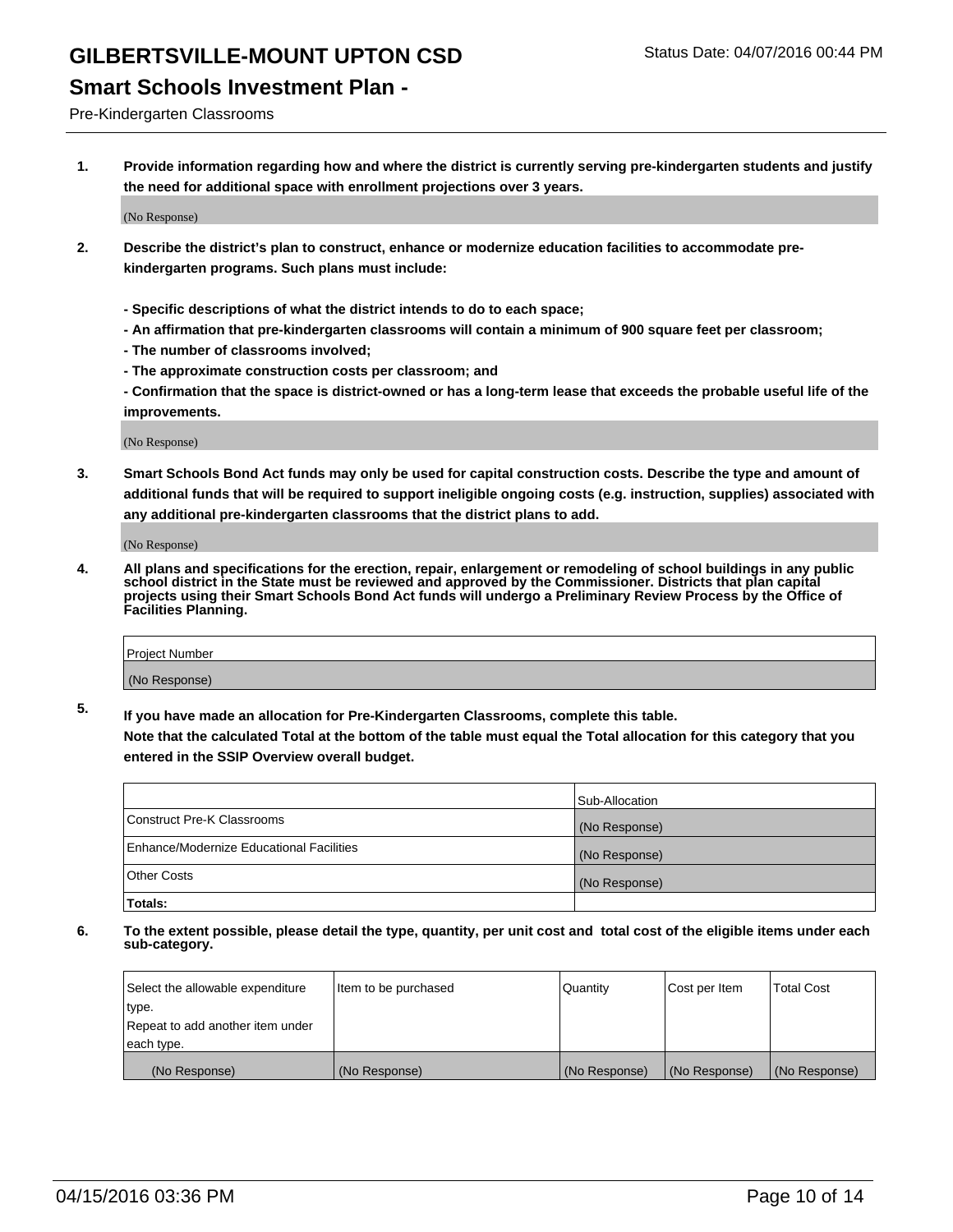#### **Smart Schools Investment Plan -**

Pre-Kindergarten Classrooms

**1. Provide information regarding how and where the district is currently serving pre-kindergarten students and justify the need for additional space with enrollment projections over 3 years.**

(No Response)

- **2. Describe the district's plan to construct, enhance or modernize education facilities to accommodate prekindergarten programs. Such plans must include:**
	- **Specific descriptions of what the district intends to do to each space;**
	- **An affirmation that pre-kindergarten classrooms will contain a minimum of 900 square feet per classroom;**
	- **The number of classrooms involved;**
	- **The approximate construction costs per classroom; and**
	- **Confirmation that the space is district-owned or has a long-term lease that exceeds the probable useful life of the improvements.**

(No Response)

**3. Smart Schools Bond Act funds may only be used for capital construction costs. Describe the type and amount of additional funds that will be required to support ineligible ongoing costs (e.g. instruction, supplies) associated with any additional pre-kindergarten classrooms that the district plans to add.**

(No Response)

**4. All plans and specifications for the erection, repair, enlargement or remodeling of school buildings in any public school district in the State must be reviewed and approved by the Commissioner. Districts that plan capital projects using their Smart Schools Bond Act funds will undergo a Preliminary Review Process by the Office of Facilities Planning.**

| Project Number |  |
|----------------|--|
| (No Response)  |  |

**5. If you have made an allocation for Pre-Kindergarten Classrooms, complete this table. Note that the calculated Total at the bottom of the table must equal the Total allocation for this category that you**

**entered in the SSIP Overview overall budget.**

|                                          | Sub-Allocation |
|------------------------------------------|----------------|
| Construct Pre-K Classrooms               | (No Response)  |
| Enhance/Modernize Educational Facilities | (No Response)  |
| Other Costs                              | (No Response)  |
| Totals:                                  |                |

| Select the allowable expenditure | Item to be purchased | Quantity      | Cost per Item | <b>Total Cost</b> |
|----------------------------------|----------------------|---------------|---------------|-------------------|
| type.                            |                      |               |               |                   |
| Repeat to add another item under |                      |               |               |                   |
| each type.                       |                      |               |               |                   |
| (No Response)                    | (No Response)        | (No Response) | (No Response) | (No Response)     |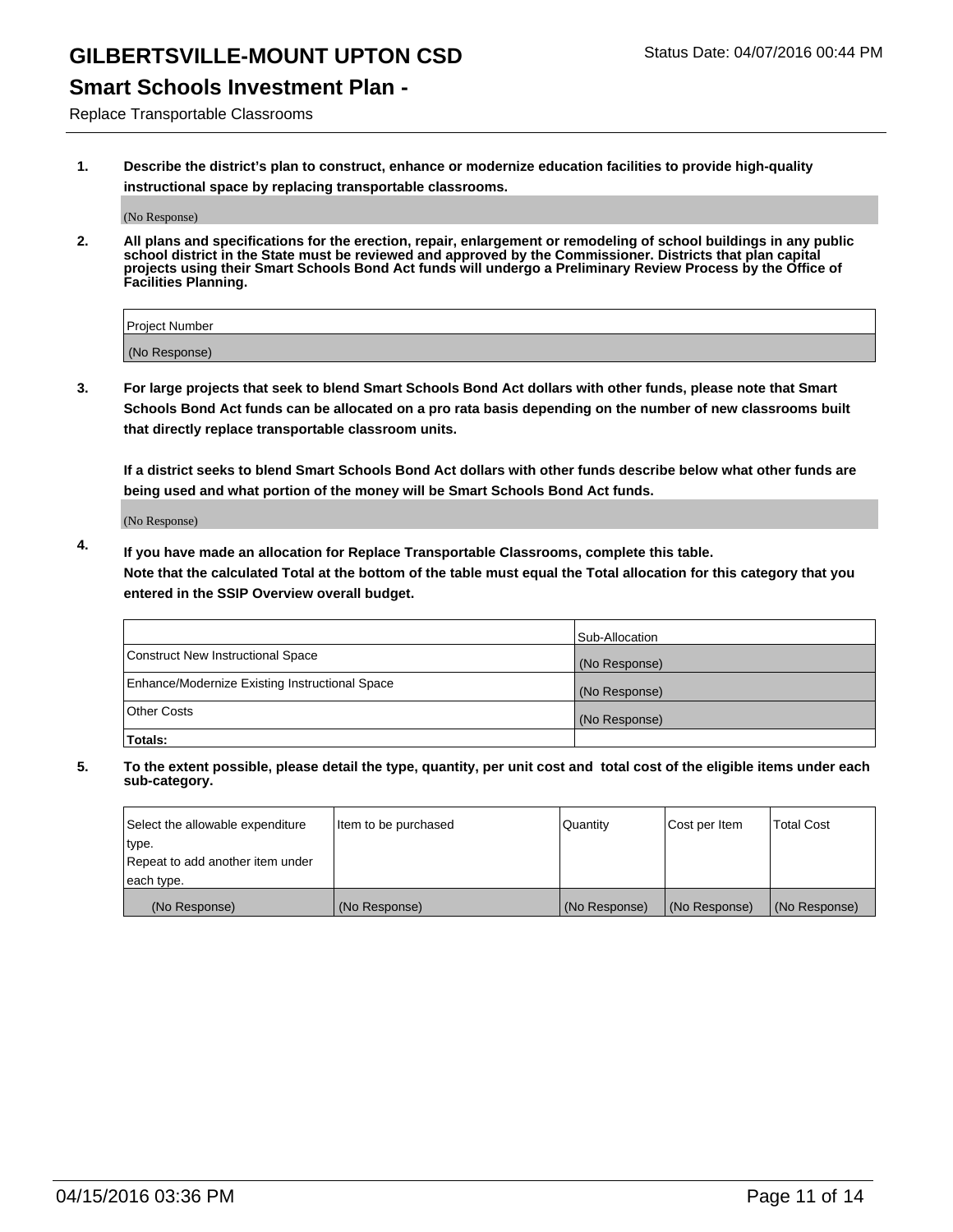### **Smart Schools Investment Plan -**

Replace Transportable Classrooms

**1. Describe the district's plan to construct, enhance or modernize education facilities to provide high-quality instructional space by replacing transportable classrooms.**

(No Response)

**2. All plans and specifications for the erection, repair, enlargement or remodeling of school buildings in any public school district in the State must be reviewed and approved by the Commissioner. Districts that plan capital projects using their Smart Schools Bond Act funds will undergo a Preliminary Review Process by the Office of Facilities Planning.**

| Project Number |  |
|----------------|--|
| (No Response)  |  |

**3. For large projects that seek to blend Smart Schools Bond Act dollars with other funds, please note that Smart Schools Bond Act funds can be allocated on a pro rata basis depending on the number of new classrooms built that directly replace transportable classroom units.**

**If a district seeks to blend Smart Schools Bond Act dollars with other funds describe below what other funds are being used and what portion of the money will be Smart Schools Bond Act funds.**

(No Response)

**4. If you have made an allocation for Replace Transportable Classrooms, complete this table. Note that the calculated Total at the bottom of the table must equal the Total allocation for this category that you entered in the SSIP Overview overall budget.**

|                                                | Sub-Allocation |
|------------------------------------------------|----------------|
| Construct New Instructional Space              | (No Response)  |
| Enhance/Modernize Existing Instructional Space | (No Response)  |
| <b>Other Costs</b>                             | (No Response)  |
| Totals:                                        |                |

| Select the allowable expenditure | Item to be purchased | Quantity      | Cost per Item | <b>Total Cost</b> |
|----------------------------------|----------------------|---------------|---------------|-------------------|
| type.                            |                      |               |               |                   |
| Repeat to add another item under |                      |               |               |                   |
| each type.                       |                      |               |               |                   |
| (No Response)                    | (No Response)        | (No Response) | (No Response) | (No Response)     |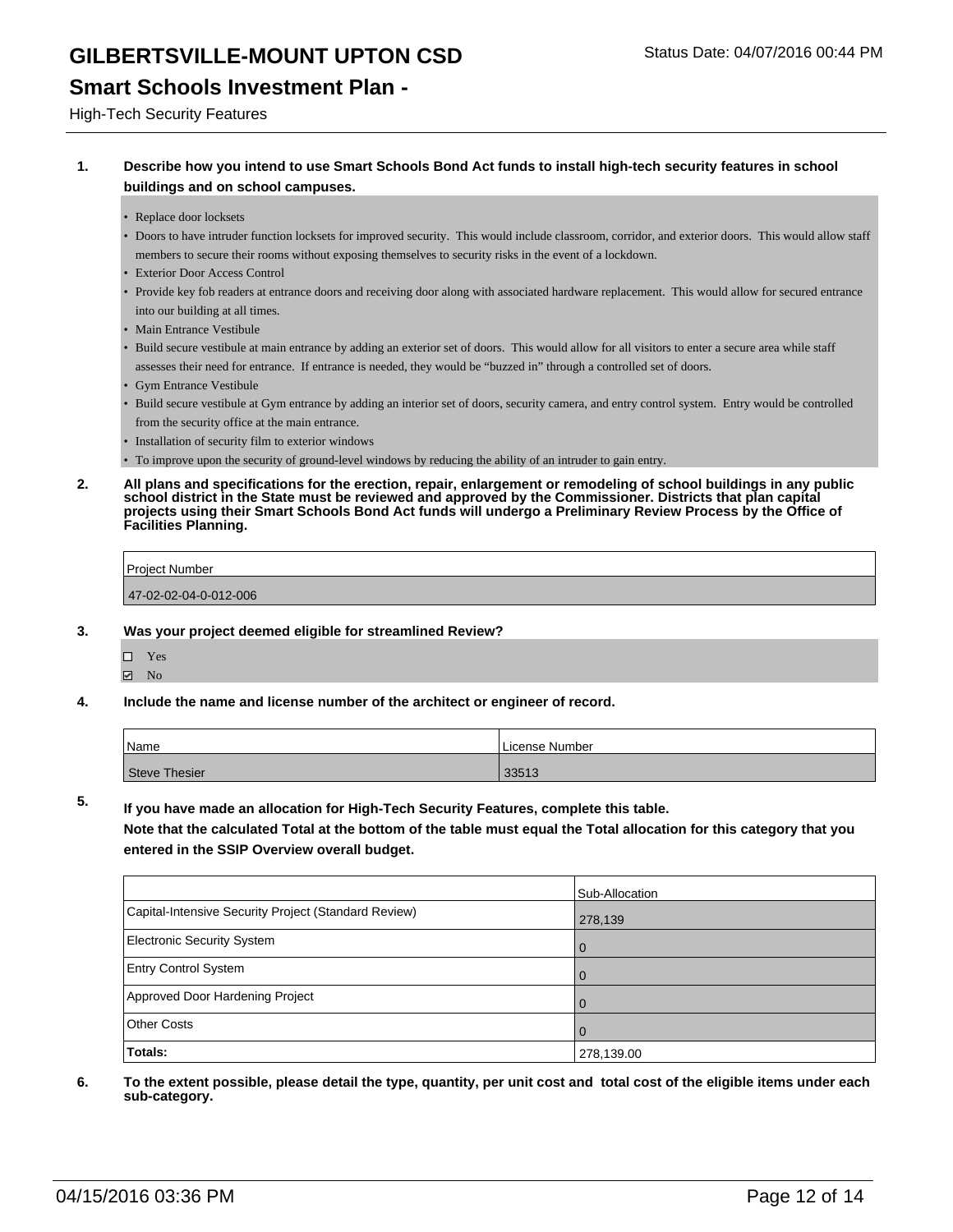#### **Smart Schools Investment Plan -**

High-Tech Security Features

#### **1. Describe how you intend to use Smart Schools Bond Act funds to install high-tech security features in school buildings and on school campuses.**

- Replace door locksets
- Doors to have intruder function locksets for improved security. This would include classroom, corridor, and exterior doors. This would allow staff members to secure their rooms without exposing themselves to security risks in the event of a lockdown.
- Exterior Door Access Control
- Provide key fob readers at entrance doors and receiving door along with associated hardware replacement. This would allow for secured entrance into our building at all times.
- Main Entrance Vestibule
- Build secure vestibule at main entrance by adding an exterior set of doors. This would allow for all visitors to enter a secure area while staff assesses their need for entrance. If entrance is needed, they would be "buzzed in" through a controlled set of doors.
- Gym Entrance Vestibule
- Build secure vestibule at Gym entrance by adding an interior set of doors, security camera, and entry control system. Entry would be controlled from the security office at the main entrance.
- Installation of security film to exterior windows
- To improve upon the security of ground-level windows by reducing the ability of an intruder to gain entry.
- **2. All plans and specifications for the erection, repair, enlargement or remodeling of school buildings in any public school district in the State must be reviewed and approved by the Commissioner. Districts that plan capital projects using their Smart Schools Bond Act funds will undergo a Preliminary Review Process by the Office of Facilities Planning.**

| Project Number        |  |
|-----------------------|--|
| 47-02-02-04-0-012-006 |  |

- **3. Was your project deemed eligible for streamlined Review?**
	- Yes  $\boxdot$  No
- **4. Include the name and license number of the architect or engineer of record.**

| Name          | License Number |
|---------------|----------------|
| Steve Thesier | 33513          |

**5. If you have made an allocation for High-Tech Security Features, complete this table.**

**Note that the calculated Total at the bottom of the table must equal the Total allocation for this category that you entered in the SSIP Overview overall budget.**

|                                                      | Sub-Allocation |
|------------------------------------------------------|----------------|
| Capital-Intensive Security Project (Standard Review) | 278,139        |
| <b>Electronic Security System</b>                    | $\overline{0}$ |
| <b>Entry Control System</b>                          | l O            |
| Approved Door Hardening Project                      | $\Omega$       |
| <b>Other Costs</b>                                   | $\Omega$       |
| Totals:                                              | 278,139.00     |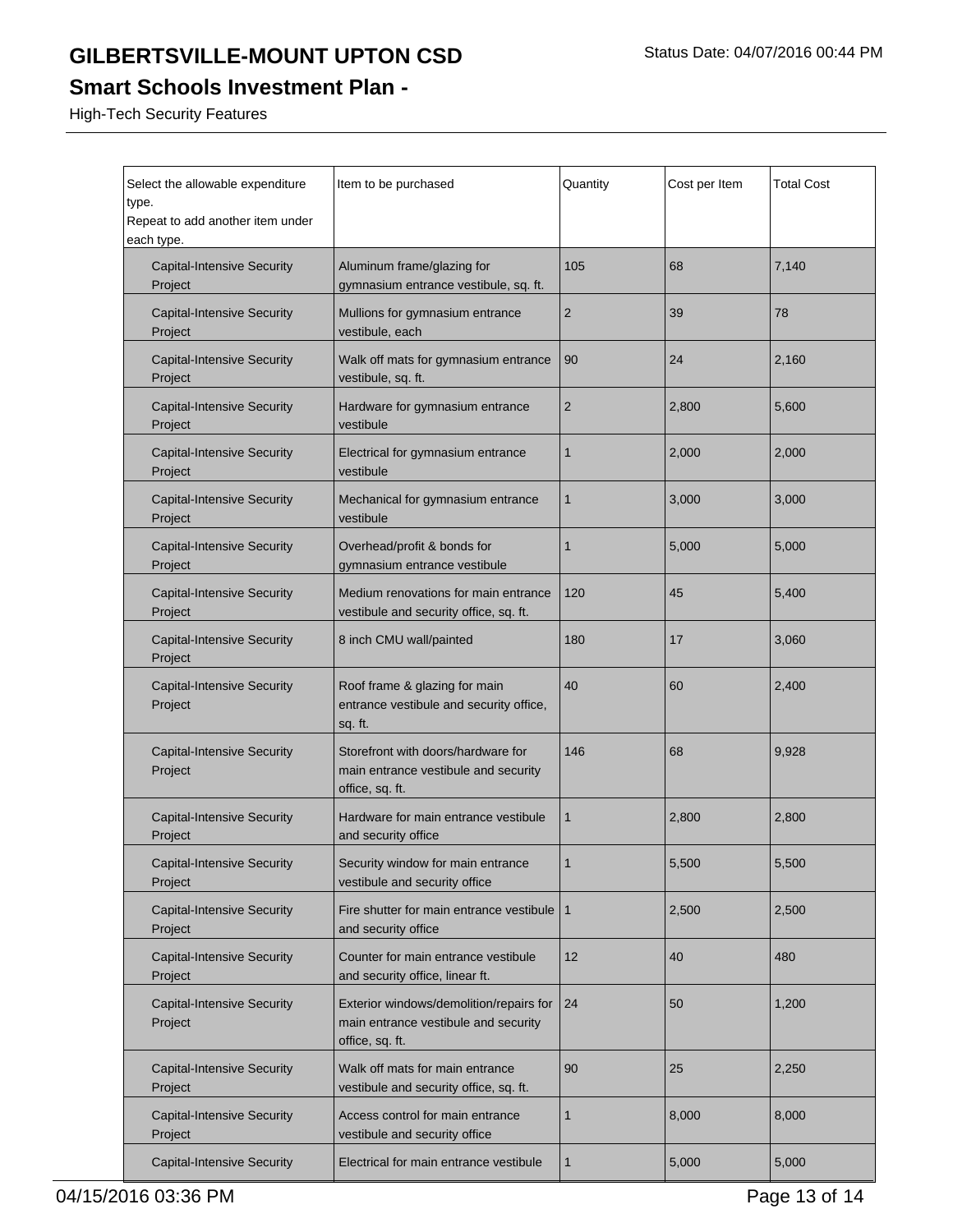### **Smart Schools Investment Plan -**

High-Tech Security Features

| Select the allowable expenditure<br>type.<br>Repeat to add another item under<br>each type. | Item to be purchased                                                                               | Quantity       | Cost per Item | <b>Total Cost</b> |
|---------------------------------------------------------------------------------------------|----------------------------------------------------------------------------------------------------|----------------|---------------|-------------------|
| <b>Capital-Intensive Security</b><br>Project                                                | Aluminum frame/glazing for<br>gymnasium entrance vestibule, sq. ft.                                | 105            | 68            | 7,140             |
| <b>Capital-Intensive Security</b><br>Project                                                | Mullions for gymnasium entrance<br>vestibule, each                                                 | 2              | 39            | 78                |
| <b>Capital-Intensive Security</b><br>Project                                                | Walk off mats for gymnasium entrance<br>vestibule, sq. ft.                                         | 90             | 24            | 2,160             |
| <b>Capital-Intensive Security</b><br>Project                                                | Hardware for gymnasium entrance<br>vestibule                                                       | $\overline{c}$ | 2,800         | 5,600             |
| <b>Capital-Intensive Security</b><br>Project                                                | Electrical for gymnasium entrance<br>vestibule                                                     | 1              | 2,000         | 2,000             |
| <b>Capital-Intensive Security</b><br>Project                                                | Mechanical for gymnasium entrance<br>vestibule                                                     | 1              | 3,000         | 3,000             |
| <b>Capital-Intensive Security</b><br>Project                                                | Overhead/profit & bonds for<br>gymnasium entrance vestibule                                        | 1              | 5,000         | 5,000             |
| <b>Capital-Intensive Security</b><br>Project                                                | Medium renovations for main entrance<br>vestibule and security office, sq. ft.                     | 120            | 45            | 5,400             |
| <b>Capital-Intensive Security</b><br>Project                                                | 8 inch CMU wall/painted                                                                            | 180            | 17            | 3,060             |
| <b>Capital-Intensive Security</b><br>Project                                                | Roof frame & glazing for main<br>entrance vestibule and security office,<br>sq. ft.                | 40             | 60            | 2,400             |
| <b>Capital-Intensive Security</b><br>Project                                                | Storefront with doors/hardware for<br>main entrance vestibule and security<br>office, sq. ft.      | 146            | 68            | 9,928             |
| <b>Capital-Intensive Security</b><br>Project                                                | Hardware for main entrance vestibule<br>and security office                                        | 1              | 2,800         | 2,800             |
| <b>Capital-Intensive Security</b><br>Project                                                | Security window for main entrance<br>vestibule and security office                                 |                | 5,500         | 5,500             |
| <b>Capital-Intensive Security</b><br>Project                                                | Fire shutter for main entrance vestibule<br>and security office                                    | $\mathbf{1}$   | 2,500         | 2,500             |
| <b>Capital-Intensive Security</b><br>Project                                                | Counter for main entrance vestibule<br>and security office, linear ft.                             | 12             | 40            | 480               |
| <b>Capital-Intensive Security</b><br>Project                                                | Exterior windows/demolition/repairs for<br>main entrance vestibule and security<br>office, sq. ft. | 24             | 50            | 1,200             |
| <b>Capital-Intensive Security</b><br>Project                                                | Walk off mats for main entrance<br>vestibule and security office, sq. ft.                          | 90             | 25            | 2,250             |
| <b>Capital-Intensive Security</b><br>Project                                                | Access control for main entrance<br>vestibule and security office                                  | 1              | 8,000         | 8,000             |
| <b>Capital-Intensive Security</b>                                                           | Electrical for main entrance vestibule                                                             | 1              | 5,000         | 5,000             |